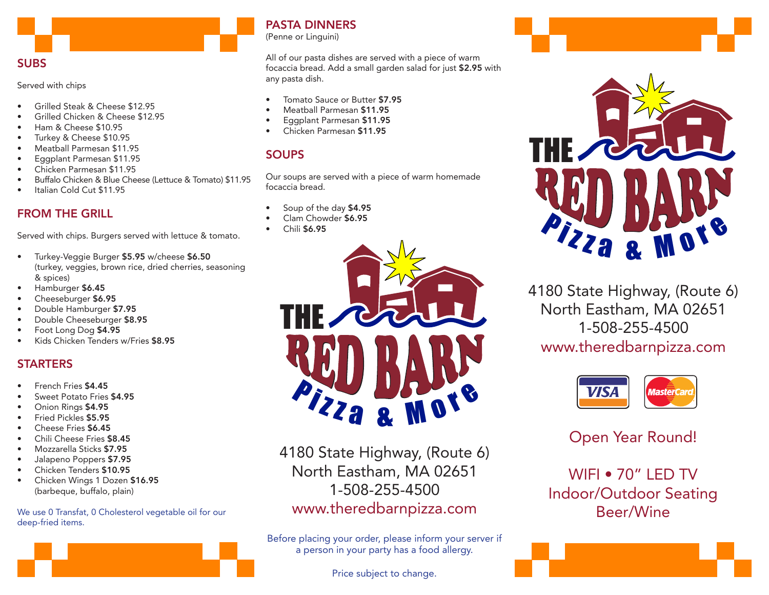## SUBS

Served with chips

- Grilled Steak & Cheese \$12.95
- Grilled Chicken & Cheese \$12.95
- Ham & Cheese \$10.95
- Turkey & Cheese \$10.95
- Meatball Parmesan \$11.95
- Eggplant Parmesan \$11.95
- Chicken Parmesan \$11.95
- Buffalo Chicken & Blue Cheese (Lettuce & Tomato) \$11.95
- Italian Cold Cut \$11.95

# FROM THE GRILL

Served with chips. Burgers served with lettuce & tomato.

- Turkey-Veggie Burger \$5.95 w/cheese \$6.50 (turkey, veggies, brown rice, dried cherries, seasoning & spices)
- Hamburger \$6.45
- Cheeseburger \$6.95
- Double Hamburger \$7.95
- Double Cheeseburger \$8.95
- Foot Long Dog \$4.95
- Kids Chicken Tenders w/Fries \$8.95

# **STARTERS**

- French Fries \$4.45
- Sweet Potato Fries \$4.95
- Onion Rings \$4.95
- Fried Pickles \$5.95
- Cheese Fries \$6.45
- Chili Cheese Fries \$8.45
- Mozzarella Sticks \$7.95
- Jalapeno Poppers \$7.95
- Chicken Tenders \$10.95
- Chicken Wings 1 Dozen \$16.95 (barbeque, buffalo, plain)

We use 0 Transfat, 0 Cholesterol vegetable oil for our deep-fried items.



(Penne or Linguini)

All of our pasta dishes are served with a piece of warm focaccia bread. Add a small garden salad for just \$2.95 with any pasta dish.

- Tomato Sauce or Butter \$7.95
- Meatball Parmesan \$11.95
- Eggplant Parmesan \$11.95
- Chicken Parmesan \$11.95

# **SOUPS**

Our soups are served with a piece of warm homemade focaccia bread.

- Soup of the day \$4.95
- Clam Chowder \$6.95
- Chili \$6.95



4180 State Highway, (Route 6) North Eastham, MA 02651 1-508-255-4500 www.theredbarnpizza.com

Before placing your order, please inform your server if a person in your party has a food allergy.

Price subject to change.





4180 State Highway, (Route 6) North Eastham, MA 02651 1-508-255-4500 www.theredbarnpizza.com



Open Year Round!

WIFI • 70" LED TV Indoor/Outdoor Seating Beer/Wine